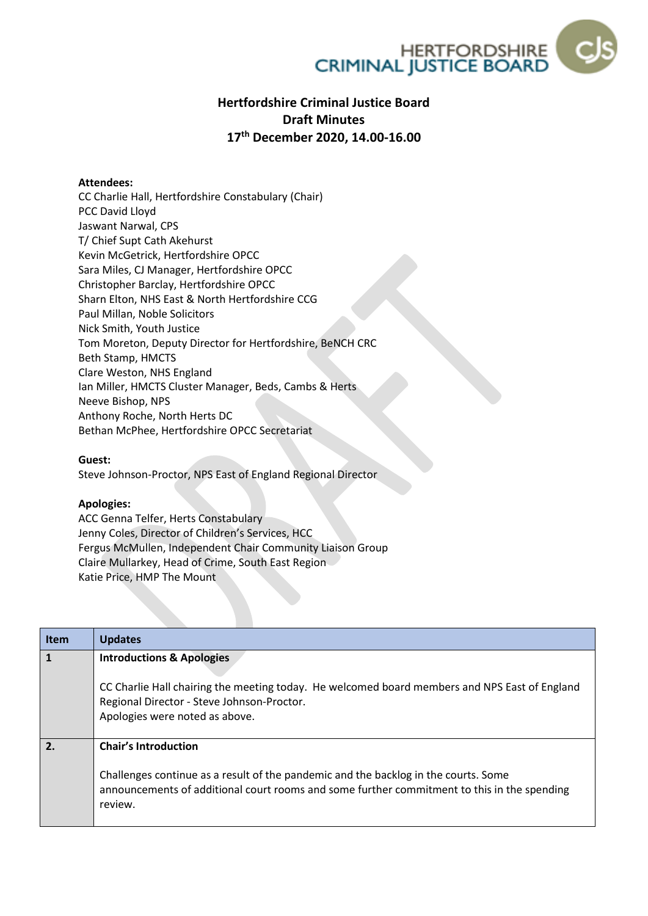

# **Hertfordshire Criminal Justice Board Draft Minutes 17th December 2020, 14.00-16.00**

### **Attendees:**

CC Charlie Hall, Hertfordshire Constabulary (Chair) PCC David Lloyd Jaswant Narwal, CPS T/ Chief Supt Cath Akehurst Kevin McGetrick, Hertfordshire OPCC Sara Miles, CJ Manager, Hertfordshire OPCC Christopher Barclay, Hertfordshire OPCC Sharn Elton, NHS East & North Hertfordshire CCG Paul Millan, Noble Solicitors Nick Smith, Youth Justice Tom Moreton, Deputy Director for Hertfordshire, BeNCH CRC Beth Stamp, HMCTS Clare Weston, NHS England Ian Miller, HMCTS Cluster Manager, Beds, Cambs & Herts Neeve Bishop, NPS Anthony Roche, North Herts DC Bethan McPhee, Hertfordshire OPCC Secretariat

#### **Guest:**

Steve Johnson-Proctor, NPS East of England Regional Director

#### **Apologies:**

ACC Genna Telfer, Herts Constabulary Jenny Coles, Director of Children's Services, HCC Fergus McMullen, Independent Chair Community Liaison Group Claire Mullarkey, Head of Crime, South East Region Katie Price, HMP The Mount

| <b>Item</b>  | <b>Updates</b>                                                                                                                                                                                                               |
|--------------|------------------------------------------------------------------------------------------------------------------------------------------------------------------------------------------------------------------------------|
| $\mathbf{1}$ | <b>Introductions &amp; Apologies</b><br>CC Charlie Hall chairing the meeting today. He welcomed board members and NPS East of England<br>Regional Director - Steve Johnson-Proctor.<br>Apologies were noted as above.        |
| 2.           | <b>Chair's Introduction</b><br>Challenges continue as a result of the pandemic and the backlog in the courts. Some<br>announcements of additional court rooms and some further commitment to this in the spending<br>review. |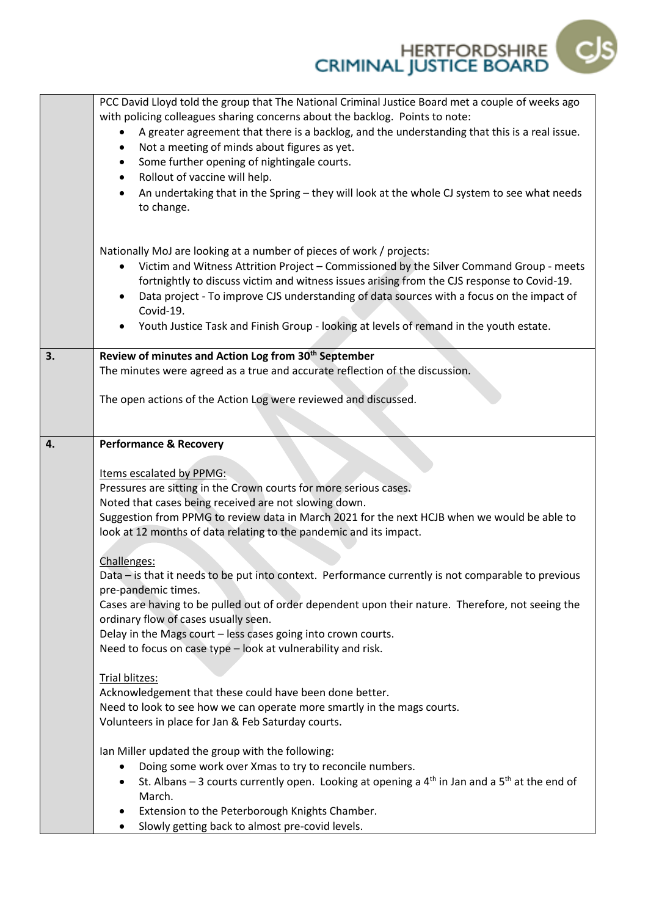

|    | PCC David Lloyd told the group that The National Criminal Justice Board met a couple of weeks ago<br>with policing colleagues sharing concerns about the backlog. Points to note:<br>A greater agreement that there is a backlog, and the understanding that this is a real issue.<br>Not a meeting of minds about figures as yet.<br>Some further opening of nightingale courts.<br>Rollout of vaccine will help.<br>An undertaking that in the Spring - they will look at the whole CJ system to see what needs<br>to change. |
|----|---------------------------------------------------------------------------------------------------------------------------------------------------------------------------------------------------------------------------------------------------------------------------------------------------------------------------------------------------------------------------------------------------------------------------------------------------------------------------------------------------------------------------------|
|    | Nationally MoJ are looking at a number of pieces of work / projects:<br>Victim and Witness Attrition Project - Commissioned by the Silver Command Group - meets<br>fortnightly to discuss victim and witness issues arising from the CJS response to Covid-19.<br>Data project - To improve CJS understanding of data sources with a focus on the impact of<br>Covid-19.<br>Youth Justice Task and Finish Group - looking at levels of remand in the youth estate.                                                              |
| 3. | Review of minutes and Action Log from 30 <sup>th</sup> September                                                                                                                                                                                                                                                                                                                                                                                                                                                                |
|    | The minutes were agreed as a true and accurate reflection of the discussion.                                                                                                                                                                                                                                                                                                                                                                                                                                                    |
|    | The open actions of the Action Log were reviewed and discussed.                                                                                                                                                                                                                                                                                                                                                                                                                                                                 |
| 4. | <b>Performance &amp; Recovery</b><br>Items escalated by PPMG:<br>Pressures are sitting in the Crown courts for more serious cases.<br>Noted that cases being received are not slowing down.<br>Suggestion from PPMG to review data in March 2021 for the next HCJB when we would be able to<br>look at 12 months of data relating to the pandemic and its impact.                                                                                                                                                               |
|    | Challenges:<br>Data - is that it needs to be put into context. Performance currently is not comparable to previous<br>pre-pandemic times.<br>Cases are having to be pulled out of order dependent upon their nature. Therefore, not seeing the<br>ordinary flow of cases usually seen.<br>Delay in the Mags court - less cases going into crown courts.<br>Need to focus on case type - look at vulnerability and risk.                                                                                                         |
|    | Trial blitzes:<br>Acknowledgement that these could have been done better.                                                                                                                                                                                                                                                                                                                                                                                                                                                       |
|    | Need to look to see how we can operate more smartly in the mags courts.                                                                                                                                                                                                                                                                                                                                                                                                                                                         |
|    | Volunteers in place for Jan & Feb Saturday courts.                                                                                                                                                                                                                                                                                                                                                                                                                                                                              |
|    | Ian Miller updated the group with the following:<br>Doing some work over Xmas to try to reconcile numbers.<br>St. Albans – 3 courts currently open. Looking at opening a $4th$ in Jan and a $5th$ at the end of<br>March.<br>Extension to the Peterborough Knights Chamber.                                                                                                                                                                                                                                                     |
|    | Slowly getting back to almost pre-covid levels.                                                                                                                                                                                                                                                                                                                                                                                                                                                                                 |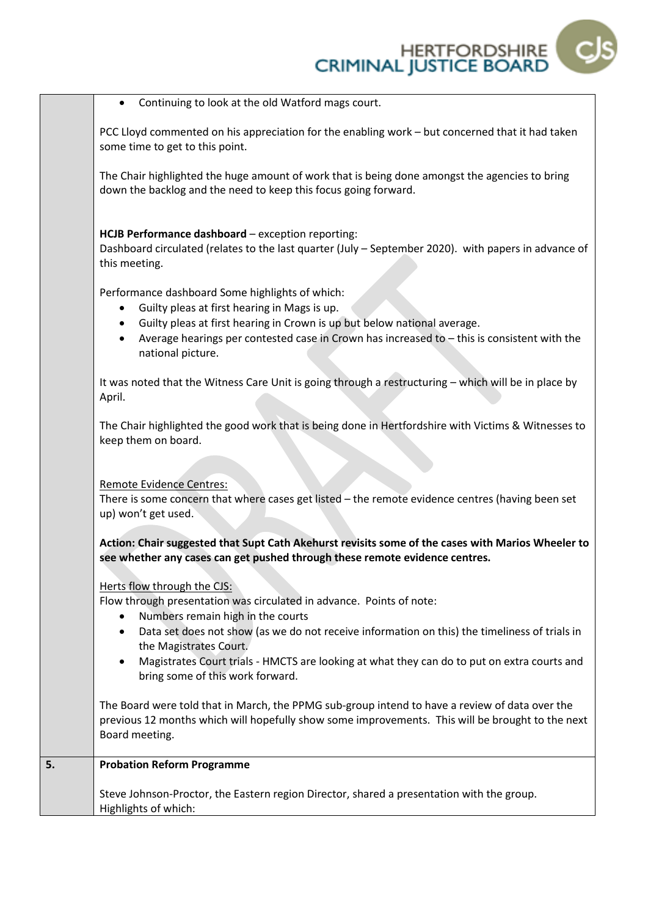

• Continuing to look at the old Watford mags court.

PCC Lloyd commented on his appreciation for the enabling work – but concerned that it had taken some time to get to this point.

The Chair highlighted the huge amount of work that is being done amongst the agencies to bring down the backlog and the need to keep this focus going forward.

## **HCJB Performance dashboard** – exception reporting:

Dashboard circulated (relates to the last quarter (July – September 2020). with papers in advance of this meeting.

Performance dashboard Some highlights of which:

- Guilty pleas at first hearing in Mags is up.
- Guilty pleas at first hearing in Crown is up but below national average.
- Average hearings per contested case in Crown has increased to this is consistent with the national picture.

It was noted that the Witness Care Unit is going through a restructuring – which will be in place by April.

The Chair highlighted the good work that is being done in Hertfordshire with Victims & Witnesses to keep them on board.

Remote Evidence Centres:

There is some concern that where cases get listed – the remote evidence centres (having been set up) won't get used.

**Action: Chair suggested that Supt Cath Akehurst revisits some of the cases with Marios Wheeler to see whether any cases can get pushed through these remote evidence centres.**

Herts flow through the CJS:

Flow through presentation was circulated in advance. Points of note:

- Numbers remain high in the courts
- Data set does not show (as we do not receive information on this) the timeliness of trials in the Magistrates Court.
- Magistrates Court trials HMCTS are looking at what they can do to put on extra courts and bring some of this work forward.

The Board were told that in March, the PPMG sub-group intend to have a review of data over the previous 12 months which will hopefully show some improvements. This will be brought to the next Board meeting.

| <b>Probation Reform Programme</b><br>5. |
|-----------------------------------------|
|-----------------------------------------|

Steve Johnson-Proctor, the Eastern region Director, shared a presentation with the group. Highlights of which: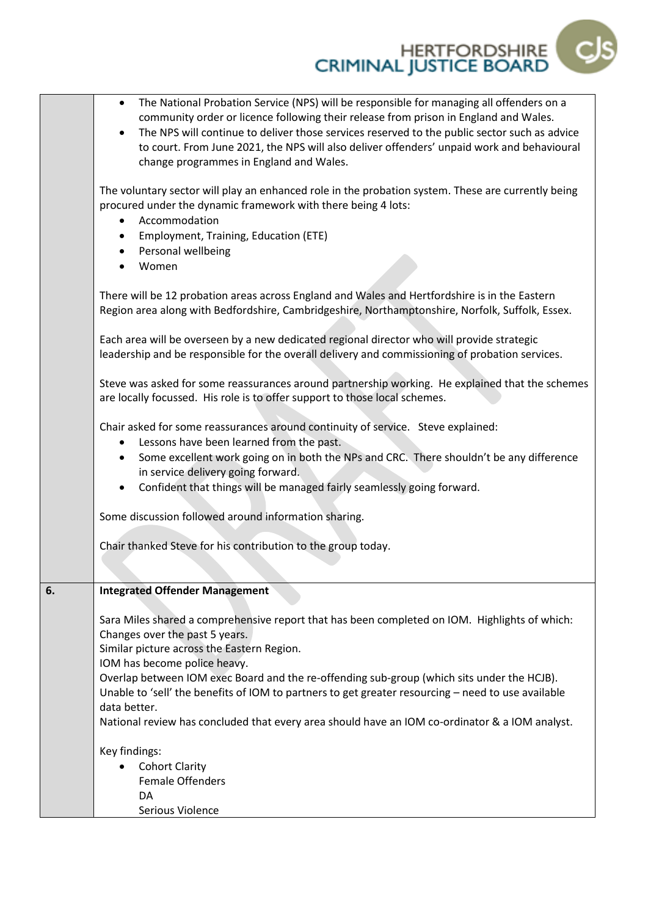|    | The National Probation Service (NPS) will be responsible for managing all offenders on a<br>$\bullet$<br>community order or licence following their release from prison in England and Wales.<br>The NPS will continue to deliver those services reserved to the public sector such as advice<br>to court. From June 2021, the NPS will also deliver offenders' unpaid work and behavioural<br>change programmes in England and Wales. |
|----|----------------------------------------------------------------------------------------------------------------------------------------------------------------------------------------------------------------------------------------------------------------------------------------------------------------------------------------------------------------------------------------------------------------------------------------|
|    | The voluntary sector will play an enhanced role in the probation system. These are currently being<br>procured under the dynamic framework with there being 4 lots:<br>Accommodation<br>$\bullet$                                                                                                                                                                                                                                      |
|    | Employment, Training, Education (ETE)<br>٠                                                                                                                                                                                                                                                                                                                                                                                             |
|    | Personal wellbeing<br>٠<br>Women<br>$\bullet$                                                                                                                                                                                                                                                                                                                                                                                          |
|    | There will be 12 probation areas across England and Wales and Hertfordshire is in the Eastern<br>Region area along with Bedfordshire, Cambridgeshire, Northamptonshire, Norfolk, Suffolk, Essex.                                                                                                                                                                                                                                       |
|    | Each area will be overseen by a new dedicated regional director who will provide strategic<br>leadership and be responsible for the overall delivery and commissioning of probation services.                                                                                                                                                                                                                                          |
|    | Steve was asked for some reassurances around partnership working. He explained that the schemes<br>are locally focussed. His role is to offer support to those local schemes.                                                                                                                                                                                                                                                          |
|    | Chair asked for some reassurances around continuity of service. Steve explained:<br>Lessons have been learned from the past.<br>$\bullet$<br>Some excellent work going on in both the NPs and CRC. There shouldn't be any difference<br>$\bullet$<br>in service delivery going forward.<br>Confident that things will be managed fairly seamlessly going forward.<br>$\bullet$                                                         |
|    | Some discussion followed around information sharing.                                                                                                                                                                                                                                                                                                                                                                                   |
|    | Chair thanked Steve for his contribution to the group today.                                                                                                                                                                                                                                                                                                                                                                           |
| 6. | <b>Integrated Offender Management</b>                                                                                                                                                                                                                                                                                                                                                                                                  |
|    | Sara Miles shared a comprehensive report that has been completed on IOM. Highlights of which:<br>Changes over the past 5 years.<br>Similar picture across the Eastern Region.<br>IOM has become police heavy.                                                                                                                                                                                                                          |
|    | Overlap between IOM exec Board and the re-offending sub-group (which sits under the HCJB).<br>Unable to 'sell' the benefits of IOM to partners to get greater resourcing – need to use available<br>data better.                                                                                                                                                                                                                       |
|    | National review has concluded that every area should have an IOM co-ordinator & a IOM analyst.                                                                                                                                                                                                                                                                                                                                         |
|    | Key findings:                                                                                                                                                                                                                                                                                                                                                                                                                          |
|    | <b>Cohort Clarity</b>                                                                                                                                                                                                                                                                                                                                                                                                                  |
|    | <b>Female Offenders</b>                                                                                                                                                                                                                                                                                                                                                                                                                |
|    | DA                                                                                                                                                                                                                                                                                                                                                                                                                                     |
|    | Serious Violence                                                                                                                                                                                                                                                                                                                                                                                                                       |